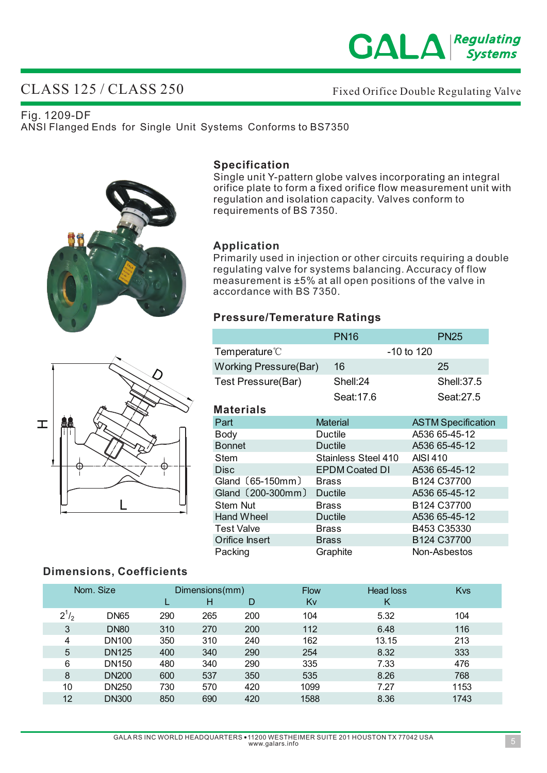

# CLASS 125 / CLASS 250

Fixed Orifice Double Regulating Valve

Fig. 1209-DF ANSI Flanged Ends for Single Unit Systems Conforms to BS7350





## **Specification**

Single unit Y-pattern globe valves incorporating an integral orifice plate to form a fixed orifice flow measurement unit with regulation and isolation capacity. Valves conform to requirements of BS 7350.

### **Application**

Primarily used in injection or other circuits requiring a double regulating valve for systems balancing. Accuracy of flow measurement is ±5% at all open positions of the valve in accordance with BS 7350.

## **Pressure/Temerature Ratings**

|                              | <b>PN16</b>           | <b>PN25</b>                         |  |
|------------------------------|-----------------------|-------------------------------------|--|
| Temperature <sup>®</sup>     |                       | $-10$ to $120$                      |  |
| <b>Working Pressure(Bar)</b> | 16                    | 25                                  |  |
| Test Pressure(Bar)           | Shell:24              | <b>Shell: 37.5</b>                  |  |
|                              | Seat:17.6             | Seat: 27.5                          |  |
| <b>Materials</b>             |                       |                                     |  |
| Part                         | <b>Material</b>       | <b>ASTM Specification</b>           |  |
| <b>Body</b>                  | Ductile               | A536 65-45-12                       |  |
| <b>Bonnet</b>                | Ductile               | A536 65-45-12                       |  |
| Stem                         | Stainless Steel 410   | AISI 410                            |  |
| <b>Disc</b>                  | <b>EPDM Coated DI</b> | A536 65-45-12                       |  |
| Gland (65-150mm)             | <b>Brass</b>          | B <sub>124</sub> C <sub>37700</sub> |  |
| Gland (200-300mm)            | Ductile               | A536 65-45-12                       |  |
| Stem Nut                     | <b>Brass</b>          | B <sub>124</sub> C <sub>37700</sub> |  |
| <b>Hand Wheel</b>            | Ductile               | A536 65-45-12                       |  |
| <b>Test Valve</b>            | <b>Brass</b>          | B453 C35330                         |  |
| Orifice Insert               | <b>Brass</b>          | B124 C37700                         |  |
| Packing                      | Graphite              | Non-Asbestos                        |  |

## **Dimensions, Coefficients**

|           | Nom. Size    |     | Dimensions(mm)<br>н | D   | <b>Flow</b><br>Κv | Head loss<br>Κ | Kvs  |
|-----------|--------------|-----|---------------------|-----|-------------------|----------------|------|
| $2^{1/2}$ | <b>DN65</b>  | 290 | 265                 | 200 | 104               | 5.32           | 104  |
| 3         | <b>DN80</b>  | 310 | 270                 | 200 | 112               | 6.48           | 116  |
| 4         | <b>DN100</b> | 350 | 310                 | 240 | 162               | 13.15          | 213  |
| 5         | <b>DN125</b> | 400 | 340                 | 290 | 254               | 8.32           | 333  |
| 6         | <b>DN150</b> | 480 | 340                 | 290 | 335               | 7.33           | 476  |
| 8         | <b>DN200</b> | 600 | 537                 | 350 | 535               | 8.26           | 768  |
| 10        | <b>DN250</b> | 730 | 570                 | 420 | 1099              | 7.27           | 1153 |
| 12        | <b>DN300</b> | 850 | 690                 | 420 | 1588              | 8.36           | 1743 |